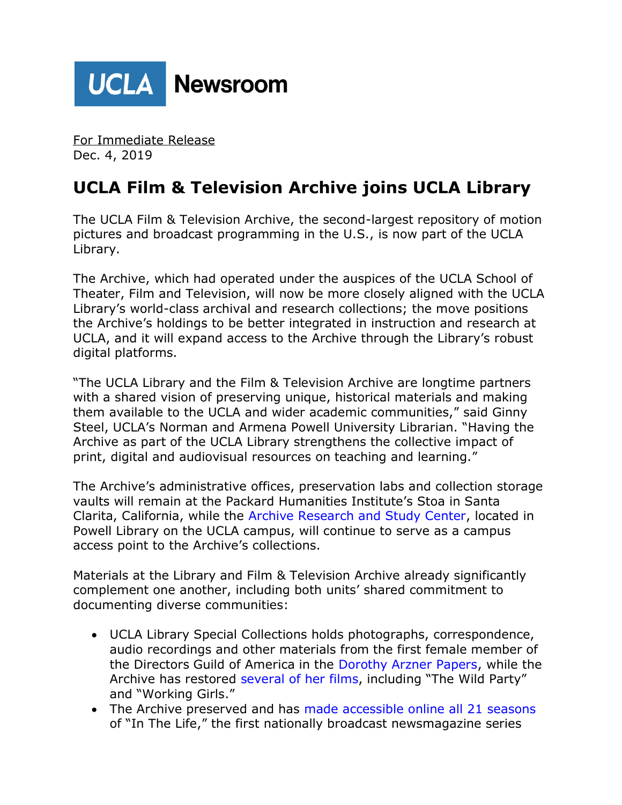

For Immediate Release Dec. 4, 2019

## **UCLA Film & Television Archive joins UCLA Library**

The UCLA Film & Television Archive, the second-largest repository of motion pictures and broadcast programming in the U.S., is now part of the UCLA Library.

The Archive, which had operated under the auspices of the UCLA School of Theater, Film and Television, will now be more closely aligned with the UCLA Library's world-class archival and research collections; the move positions the Archive's holdings to be better integrated in instruction and research at UCLA, and it will expand access to the Archive through the Library's robust digital platforms.

"The UCLA Library and the Film & Television Archive are longtime partners with a shared vision of preserving unique, historical materials and making them available to the UCLA and wider academic communities," said Ginny Steel, UCLA's Norman and Armena Powell University Librarian. "Having the Archive as part of the UCLA Library strengthens the collective impact of print, digital and audiovisual resources on teaching and learning."

The Archive's administrative offices, preservation labs and collection storage vaults will remain at the Packard Humanities Institute's Stoa in Santa Clarita, California, while the [Archive Research and Study Center,](https://www.cinema.ucla.edu/education/archive-research-study-center-arsc) located in Powell Library on the UCLA campus, will continue to serve as a campus access point to the Archive's collections.

Materials at the Library and Film & Television Archive already significantly complement one another, including both units' shared commitment to documenting diverse communities:

- UCLA Library Special Collections holds photographs, correspondence, audio recordings and other materials from the first female member of the Directors Guild of America in the [Dorothy Arzner Papers,](https://oac.cdlib.org/findaid/ark:/13030/tf538nb2tc/) while the Archive has restored [several of her films](https://www.cinema.ucla.edu/collections/dorothy-arzner), including "The Wild Party" and "Working Girls."
- The Archive preserved and has [made accessible online all 21 seasons](https://www.cinema.ucla.edu/collections/inthelife/introduction) of "In The Life," the first nationally broadcast newsmagazine series